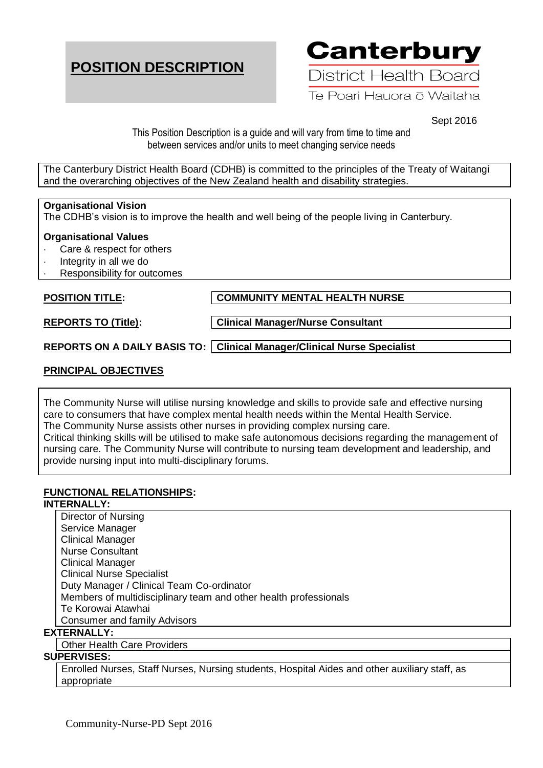# **POSITION DESCRIPTION**

**Canterbury** 

District Health Board

Te Poari Hauora ō Waitaha

Sept 2016

This Position Description is a guide and will vary from time to time and between services and/or units to meet changing service needs

The Canterbury District Health Board (CDHB) is committed to the principles of the Treaty of Waitangi and the overarching objectives of the New Zealand health and disability strategies.

## **Organisational Vision**

The CDHB's vision is to improve the health and well being of the people living in Canterbury.

## **Organisational Values**

- Care & respect for others
- Integrity in all we do
- Responsibility for outcomes

**POSITION TITLE: COMMUNITY MENTAL HEALTH NURSE** 

**REPORTS TO (Title): Clinical Manager/Nurse Consultant**

**REPORTS ON A DAILY BASIS TO: Clinical Manager/Clinical Nurse Specialist**

# **PRINCIPAL OBJECTIVES**

The Community Nurse will utilise nursing knowledge and skills to provide safe and effective nursing care to consumers that have complex mental health needs within the Mental Health Service. The Community Nurse assists other nurses in providing complex nursing care.

Critical thinking skills will be utilised to make safe autonomous decisions regarding the management of nursing care. The Community Nurse will contribute to nursing team development and leadership, and provide nursing input into multi-disciplinary forums.

# **FUNCTIONAL RELATIONSHIPS:**

## **INTERNALLY:**

Director of Nursing Service Manager Clinical Manager Nurse Consultant Clinical Manager Clinical Nurse Specialist Duty Manager / Clinical Team Co-ordinator Members of multidisciplinary team and other health professionals Te Korowai Atawhai Consumer and family Advisors

## **EXTERNALLY:**

Other Health Care Providers

## **SUPERVISES:**

Enrolled Nurses, Staff Nurses, Nursing students, Hospital Aides and other auxiliary staff, as appropriate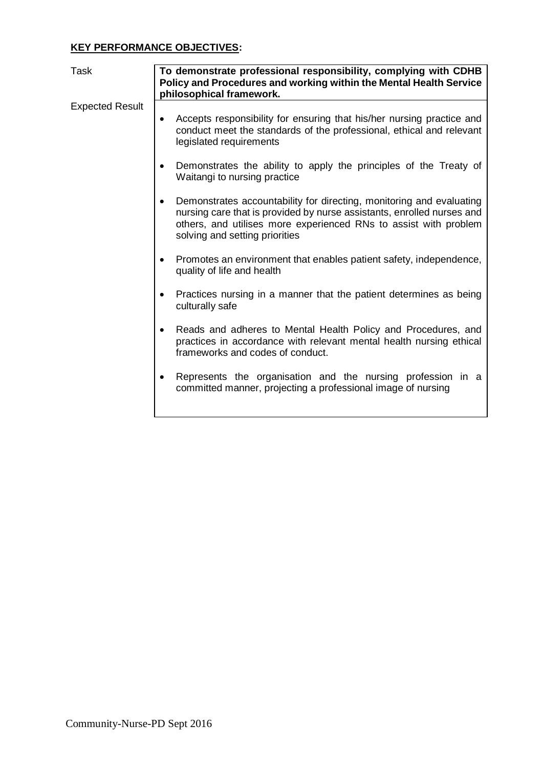# **KEY PERFORMANCE OBJECTIVES:**

| Task                   | To demonstrate professional responsibility, complying with CDHB<br>Policy and Procedures and working within the Mental Health Service<br>philosophical framework.                                                                                                 |
|------------------------|-------------------------------------------------------------------------------------------------------------------------------------------------------------------------------------------------------------------------------------------------------------------|
| <b>Expected Result</b> | Accepts responsibility for ensuring that his/her nursing practice and<br>٠<br>conduct meet the standards of the professional, ethical and relevant<br>legislated requirements                                                                                     |
|                        | Demonstrates the ability to apply the principles of the Treaty of<br>$\bullet$<br>Waitangi to nursing practice                                                                                                                                                    |
|                        | Demonstrates accountability for directing, monitoring and evaluating<br>$\bullet$<br>nursing care that is provided by nurse assistants, enrolled nurses and<br>others, and utilises more experienced RNs to assist with problem<br>solving and setting priorities |
|                        | Promotes an environment that enables patient safety, independence,<br>quality of life and health                                                                                                                                                                  |
|                        | Practices nursing in a manner that the patient determines as being<br>$\bullet$<br>culturally safe                                                                                                                                                                |
|                        | Reads and adheres to Mental Health Policy and Procedures, and<br>$\bullet$<br>practices in accordance with relevant mental health nursing ethical<br>frameworks and codes of conduct.                                                                             |
|                        | Represents the organisation and the nursing profession in a<br>$\bullet$<br>committed manner, projecting a professional image of nursing                                                                                                                          |
|                        |                                                                                                                                                                                                                                                                   |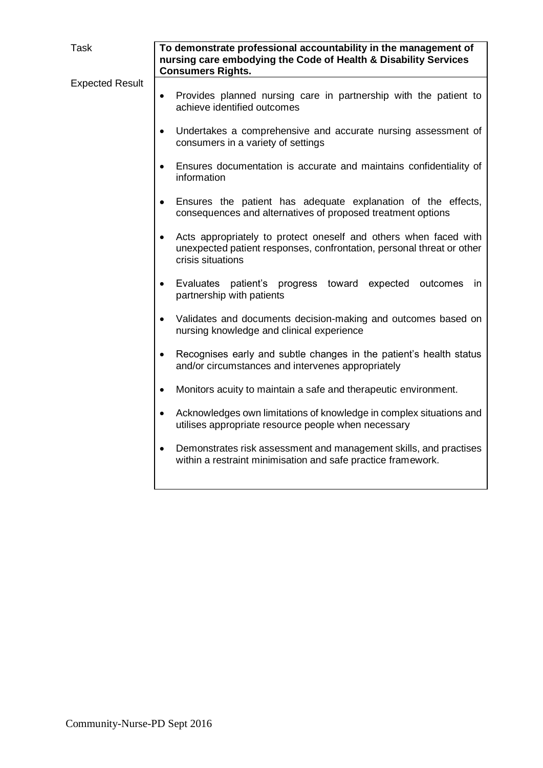| Task                   | To demonstrate professional accountability in the management of<br>nursing care embodying the Code of Health & Disability Services<br><b>Consumers Rights.</b>              |
|------------------------|-----------------------------------------------------------------------------------------------------------------------------------------------------------------------------|
| <b>Expected Result</b> | Provides planned nursing care in partnership with the patient to<br>$\bullet$<br>achieve identified outcomes                                                                |
|                        | Undertakes a comprehensive and accurate nursing assessment of<br>$\bullet$<br>consumers in a variety of settings                                                            |
|                        | Ensures documentation is accurate and maintains confidentiality of<br>$\bullet$<br>information                                                                              |
|                        | Ensures the patient has adequate explanation of the effects,<br>consequences and alternatives of proposed treatment options                                                 |
|                        | Acts appropriately to protect oneself and others when faced with<br>$\bullet$<br>unexpected patient responses, confrontation, personal threat or other<br>crisis situations |
|                        | Evaluates patient's progress toward expected outcomes<br>$\bullet$<br><sub>in</sub><br>partnership with patients                                                            |
|                        | Validates and documents decision-making and outcomes based on<br>$\bullet$<br>nursing knowledge and clinical experience                                                     |
|                        | Recognises early and subtle changes in the patient's health status<br>$\bullet$<br>and/or circumstances and intervenes appropriately                                        |
|                        | Monitors acuity to maintain a safe and therapeutic environment.<br>$\bullet$                                                                                                |
|                        | Acknowledges own limitations of knowledge in complex situations and<br>$\bullet$<br>utilises appropriate resource people when necessary                                     |
|                        | Demonstrates risk assessment and management skills, and practises<br>within a restraint minimisation and safe practice framework.                                           |
|                        |                                                                                                                                                                             |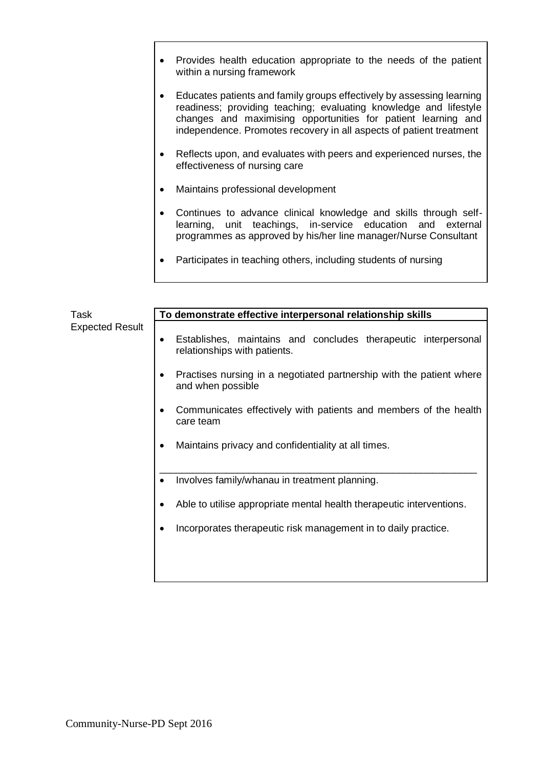- Provides health education appropriate to the needs of the patient within a nursing framework
- Educates patients and family groups effectively by assessing learning readiness; providing teaching; evaluating knowledge and lifestyle changes and maximising opportunities for patient learning and independence. Promotes recovery in all aspects of patient treatment
- Reflects upon, and evaluates with peers and experienced nurses, the effectiveness of nursing care
- Maintains professional development
- Continues to advance clinical knowledge and skills through selflearning, unit teachings, in-service education and external programmes as approved by his/her line manager/Nurse Consultant
- Participates in teaching others, including students of nursing

| Task<br><b>Expected Result</b> | To demonstrate effective interpersonal relationship skills                                     |
|--------------------------------|------------------------------------------------------------------------------------------------|
|                                | Establishes, maintains and concludes therapeutic interpersonal<br>relationships with patients. |
|                                | Practises nursing in a negotiated partnership with the patient where<br>and when possible      |
|                                | Communicates effectively with patients and members of the health<br>care team                  |
|                                | Maintains privacy and confidentiality at all times.                                            |
|                                | Involves family/whanau in treatment planning.                                                  |
|                                | Able to utilise appropriate mental health therapeutic interventions.                           |
|                                | Incorporates therapeutic risk management in to daily practice.                                 |
|                                |                                                                                                |
|                                |                                                                                                |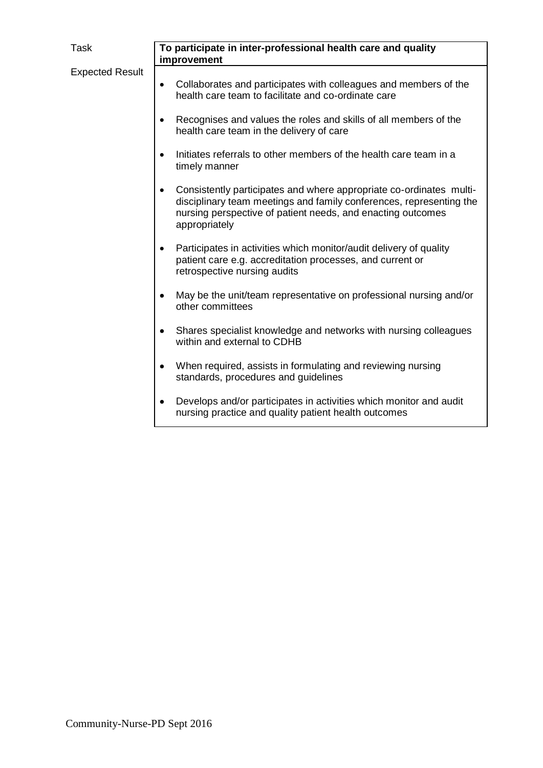| Task                   | To participate in inter-professional health care and quality<br>improvement                                                                                                                                                             |
|------------------------|-----------------------------------------------------------------------------------------------------------------------------------------------------------------------------------------------------------------------------------------|
| <b>Expected Result</b> | Collaborates and participates with colleagues and members of the<br>$\bullet$<br>health care team to facilitate and co-ordinate care                                                                                                    |
|                        | Recognises and values the roles and skills of all members of the<br>$\bullet$<br>health care team in the delivery of care                                                                                                               |
|                        | Initiates referrals to other members of the health care team in a<br>$\bullet$<br>timely manner                                                                                                                                         |
|                        | Consistently participates and where appropriate co-ordinates multi-<br>$\bullet$<br>disciplinary team meetings and family conferences, representing the<br>nursing perspective of patient needs, and enacting outcomes<br>appropriately |
|                        | Participates in activities which monitor/audit delivery of quality<br>$\bullet$<br>patient care e.g. accreditation processes, and current or<br>retrospective nursing audits                                                            |
|                        | May be the unit/team representative on professional nursing and/or<br>$\bullet$<br>other committees                                                                                                                                     |
|                        | Shares specialist knowledge and networks with nursing colleagues<br>٠<br>within and external to CDHB                                                                                                                                    |
|                        | When required, assists in formulating and reviewing nursing<br>$\bullet$<br>standards, procedures and guidelines                                                                                                                        |
|                        | Develops and/or participates in activities which monitor and audit<br>$\bullet$<br>nursing practice and quality patient health outcomes                                                                                                 |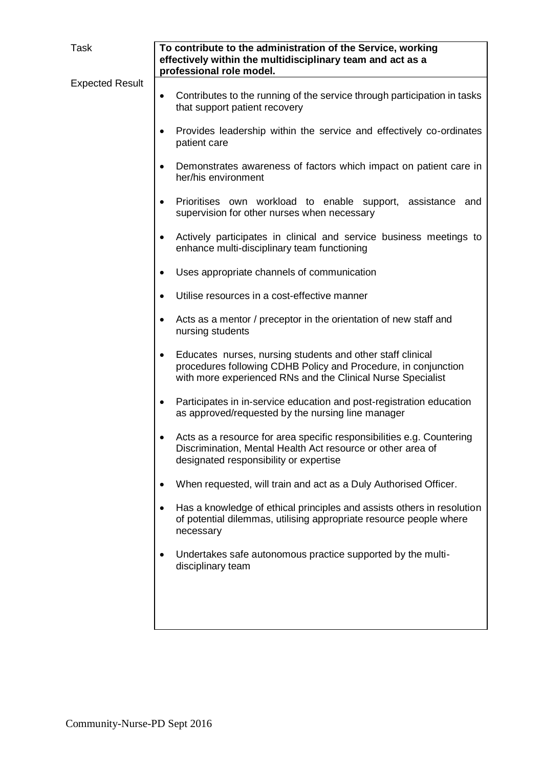| Task                   | To contribute to the administration of the Service, working<br>effectively within the multidisciplinary team and act as a<br>professional role model.                                                    |
|------------------------|----------------------------------------------------------------------------------------------------------------------------------------------------------------------------------------------------------|
|                        |                                                                                                                                                                                                          |
| <b>Expected Result</b> | Contributes to the running of the service through participation in tasks<br>$\bullet$<br>that support patient recovery                                                                                   |
|                        | Provides leadership within the service and effectively co-ordinates<br>$\bullet$<br>patient care                                                                                                         |
|                        | Demonstrates awareness of factors which impact on patient care in<br>her/his environment                                                                                                                 |
|                        | Prioritises own workload to enable support, assistance and<br>supervision for other nurses when necessary                                                                                                |
|                        | Actively participates in clinical and service business meetings to<br>$\bullet$<br>enhance multi-disciplinary team functioning                                                                           |
|                        | Uses appropriate channels of communication<br>$\bullet$                                                                                                                                                  |
|                        | Utilise resources in a cost-effective manner                                                                                                                                                             |
|                        | Acts as a mentor / preceptor in the orientation of new staff and<br>$\bullet$<br>nursing students                                                                                                        |
|                        | Educates nurses, nursing students and other staff clinical<br>$\bullet$<br>procedures following CDHB Policy and Procedure, in conjunction<br>with more experienced RNs and the Clinical Nurse Specialist |
|                        | Participates in in-service education and post-registration education<br>$\bullet$<br>as approved/requested by the nursing line manager                                                                   |
|                        | Acts as a resource for area specific responsibilities e.g. Countering<br>Discrimination, Mental Health Act resource or other area of<br>designated responsibility or expertise                           |
|                        | When requested, will train and act as a Duly Authorised Officer.<br>$\bullet$                                                                                                                            |
|                        | Has a knowledge of ethical principles and assists others in resolution<br>$\bullet$<br>of potential dilemmas, utilising appropriate resource people where<br>necessary                                   |
|                        | Undertakes safe autonomous practice supported by the multi-<br>disciplinary team                                                                                                                         |
|                        |                                                                                                                                                                                                          |
|                        |                                                                                                                                                                                                          |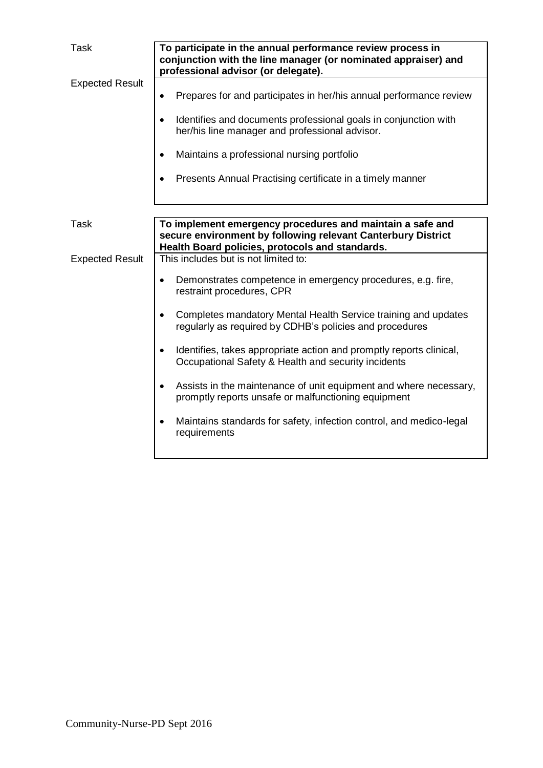| <b>Task</b>            | To participate in the annual performance review process in<br>conjunction with the line manager (or nominated appraiser) and<br>professional advisor (or delegate).                                                                                                                                                                                                                                                                                                                                                                                                                                                                                                                                      |
|------------------------|----------------------------------------------------------------------------------------------------------------------------------------------------------------------------------------------------------------------------------------------------------------------------------------------------------------------------------------------------------------------------------------------------------------------------------------------------------------------------------------------------------------------------------------------------------------------------------------------------------------------------------------------------------------------------------------------------------|
| <b>Expected Result</b> | Prepares for and participates in her/his annual performance review<br>Identifies and documents professional goals in conjunction with<br>$\bullet$<br>her/his line manager and professional advisor.<br>Maintains a professional nursing portfolio<br>$\bullet$<br>Presents Annual Practising certificate in a timely manner<br>$\bullet$                                                                                                                                                                                                                                                                                                                                                                |
| <b>Task</b>            | To implement emergency procedures and maintain a safe and<br>secure environment by following relevant Canterbury District                                                                                                                                                                                                                                                                                                                                                                                                                                                                                                                                                                                |
| <b>Expected Result</b> | Health Board policies, protocols and standards.<br>This includes but is not limited to:<br>Demonstrates competence in emergency procedures, e.g. fire,<br>$\bullet$<br>restraint procedures, CPR<br>Completes mandatory Mental Health Service training and updates<br>$\bullet$<br>regularly as required by CDHB's policies and procedures<br>Identifies, takes appropriate action and promptly reports clinical,<br>Occupational Safety & Health and security incidents<br>Assists in the maintenance of unit equipment and where necessary,<br>$\bullet$<br>promptly reports unsafe or malfunctioning equipment<br>Maintains standards for safety, infection control, and medico-legal<br>requirements |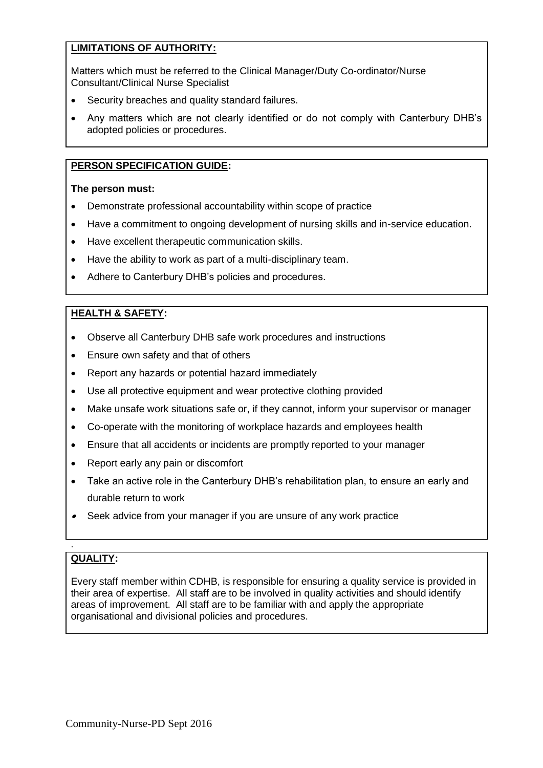# **LIMITATIONS OF AUTHORITY:**

Matters which must be referred to the Clinical Manager/Duty Co-ordinator/Nurse Consultant/Clinical Nurse Specialist

- Security breaches and quality standard failures.
- Any matters which are not clearly identified or do not comply with Canterbury DHB's adopted policies or procedures.

## **PERSON SPECIFICATION GUIDE:**

## **The person must:**

- Demonstrate professional accountability within scope of practice
- Have a commitment to ongoing development of nursing skills and in-service education.
- Have excellent therapeutic communication skills.
- Have the ability to work as part of a multi-disciplinary team.
- Adhere to Canterbury DHB's policies and procedures.

## **HEALTH & SAFETY:**

- Observe all Canterbury DHB safe work procedures and instructions
- Ensure own safety and that of others
- Report any hazards or potential hazard immediately
- Use all protective equipment and wear protective clothing provided
- Make unsafe work situations safe or, if they cannot, inform your supervisor or manager
- Co-operate with the monitoring of workplace hazards and employees health
- Ensure that all accidents or incidents are promptly reported to your manager
- Report early any pain or discomfort
- Take an active role in the Canterbury DHB's rehabilitation plan, to ensure an early and durable return to work
- Seek advice from your manager if you are unsure of any work practice

# **QUALITY:**

.

Every staff member within CDHB, is responsible for ensuring a quality service is provided in their area of expertise. All staff are to be involved in quality activities and should identify areas of improvement. All staff are to be familiar with and apply the appropriate organisational and divisional policies and procedures.